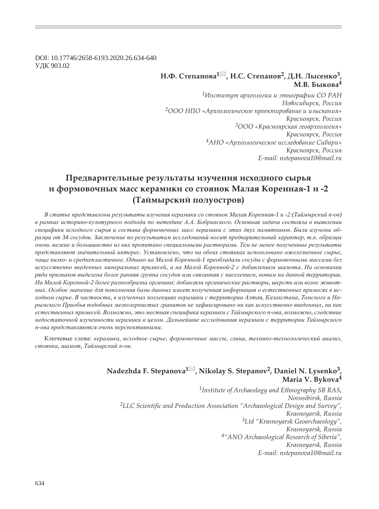DOI: 10.17746/2658-6193.2020.26.634-640 ɍȾɄ 903.02

### $H.\Phi$ . Степанова<sup>1⊠</sup>, Н.С. Степанов<sup>2</sup>, Д.Н. Лысенко<sup>3</sup>  $M.B.$  Быкова<sup>4</sup>

*<sup>1</sup>ǶțȟȠȖȠȡȠ ȎȞȣȓȜșȜȑȖȖ Ȗ ȫȠțȜȑȞȎȢȖȖ ǿǼ ǾǮǻ*  $H$ овосибирск, Россия <sup>2</sup>ООО НПО «Археологическое проектирование и изыскания» *ǸȞȎȟțȜȭȞȟȘ, ǾȜȟȟȖȭ <sup>3</sup>ǼǼǼ «ǸȞȎȟțȜȭȞȟȘȎȭ ȑȓȜȎȞȣȓȜșȜȑȖȭ»* Красноярск, Россия *<sup>4</sup>ǮǻǼ «ǮȞȣȓȜșȜȑȖȥȓȟȘȜȓ ȖȟȟșȓȒȜȐȎțȖȓ ǿȖȏȖȞȖ»* Красноярск, Россия *E-mail: nstepanova10@mail.ru*

## Предварительные результаты изучения исходного сырья **Ȗ ȢȜȞȚȜȐȜȥțȩȣ ȚȎȟȟ ȘȓȞȎȚȖȘȖ ȟȜ ȟȠȜȭțȜȘ ǺȎșȎȭ ǸȜȞȓțțȎȭ-1 Ȗ -2 (ȀȎȗȚȩȞȟȘȖȗ ȝȜșȡȜȟȠȞȜȐ)**

В статье представлены результаты изучения керамики со стоянок Малая Коренная-1 и -2 (Таймырский п-ов) в рамках историко-культурного подхода по методике А.А. Бобринского. Основная задача состояла в выявлении *ɫɩɟɰɢɮɢɤɢ ɢɫɯɨɞɧɨɝɨ ɫɵɪɶɹ ɢ ɫɨɫɬɚɜɚ ɮɨɪɦɨɜɨɱɧɵɯ ɦɚɫɫ ɤɟɪɚɦɢɤɢ ɫ ɷɬɢɯ ɞɜɭɯ ɩɚɦɹɬɧɢɤɨɜ. Ȼɵɥɢ ɢɡɭɱɟɧɵ ɨɛ*разцы от 34 сосудов. Заключение по результатам исследований носит предварительный характер, т.к. образцы  $o$ чень мелкие и большинство из них пропитано специальными растворами. Тем не менее полученные результаты лредставляют значительный интерес. Установлено, что на обеих стоянках использовано ожелезненное сырье, чаще низко- и среднепластичное. Однако на Малой Коренной-1 преобладали сосуды с формовочными массами без искусственно введенных минеральных примесей, а на Малой Коренной-2 с добавлением шамота. На основании ряда признаков выделена более ранняя группа сосудов или связанная с населением, новым на данной территории. На Малой Коренной-2 более разнообразна органика: добавляли органические растворы, шерсть или волос животных. Особое значение для пополнения базы данных имеет полученная информация о естественных примесях в исходном сырье. В частности, в изученных коллекциях керамики с территории Алтая, Казахстана, Томского и На $p$ ымского Приобья подобных мелкозернистых гранитов не зафиксировано ни как искусственно введенных, ни как естественных примесей. Возможно, это местная специфика керамики с Таймырского п-ова, возможно, следствие *недостаточной изученности керамики в целом. Дальнейшие исследования керамики с территории Таймырского*  $n$ <sup>-</sup>ова представляются очень перспективными.

Ключевые слова: керамика, исходное сырье, формовочные массы, глина, технико-технологический анализ,  $\mu$ гтоянка, шамот, Таймырский п-ов.

## **Nadezhda F. Stepanova<sup>1</sup> , Nikolay S. Stepanov2, Daniel N. Lysenko3, Maria V. Bykova<sup>4</sup>**

*1Institute of Archaeology and Ethnography SB RAS, Novosibirsk, Russia* <sup>2</sup>LLC Scientific and Production Association "Archaeological Design and Survey", *Krasnoyarsk, Russia 3Ltd "Krasnoyarsk Geoarchaeology", Krasnoyarsk, Russia 4"ANO Archaeological Research of Siberia", Krasnoyarsk, Russia E-mail: nstepanova10@mail.ru*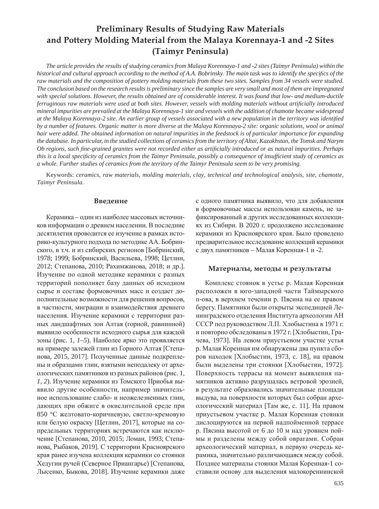# **Preliminary Results of Studying Raw Materials and Pottery Molding Material from the Malaya Korennaya-1 and -2 Sites (Taimyr Peninsula)**

*The article provides the results of studying ceramics from Malaya Korennaya-1 and -2 sites (Taimyr Peninsula) within the historical and cultural approach according to the method of A.A. Bobrinsky. The main task was to identify the specifics of the raw materials and the composition of pottery molding materials from these two sites. Samples from 34 vessels were studied. The conclusion based on the research results is preliminary since the samples are very small and most of them are impregnated with special solutions. However, the results obtained are of considerable interest. It was found that low- and medium-ductile ferruginous raw materials were used at both sites. However, vessels with molding materials without arti¿ cially introduced mineral impurities are prevailed at the Malaya Korennaya-1 site and vessels with the addition of chamotte became widespread*  at the Malaya Korennaya-2 site. An earlier group of vessels associated with a new population in the territory was identified *by a number of features. Organic matter is more diverse at the Malaya Korennaya-2 site: organic solutions, wool or animal hair were added. The obtained information on natural impurities in the feedstock is of particular importance for expanding the database. In particular, in the studied collections of ceramics from the territory of Altai, Kazakhstan, the Tomsk and Narym Ob regions, such ¿ ne-grained granites were not recorded either as arti¿ cially introduced or as natural impurities. Perhaps this is a local specificity of ceramics from the Taimyr Peninsula, possibly a consequence of insufficient study of ceramics as a whole. Further studies of ceramics from the territory of the Taimyr Peninsula seem to be very promising.*

Keywords: *ceramics, raw materials, molding materials, clay, technical and technological analysis, site, chamotte, Taimyr Peninsula.*

#### Введение

Керамика – один из наиболее массовых источников информации о древнем населении. В последние десятилетия проводится ее изучение в рамках историко-культурного подхода по методике АА. Бобринского, в т.ч. и из сибирских регионов [Бобринский, 1978; 1999; Бобринский, Васильева, 1998; Цетлин, 2012; Степанова, 2010; Рахимжанова, 2018; и др.]. Изучение по одной методике керамики с разных территорий пополняет базу данных об исходном сырье и составе формовочных масс и создает дополнительные возможности для решения вопросов, в частности, миграции и взаимодействия древнего населения. Изучение керамики с территории разных ландшафтных зон Алтая (горной, равнинной) выявило особенности исходного сырья для каждой зоны (рис. 1, *1–5*). Наиболее ярко это проявляется на примере залежей глин из Горного Алтая [Степанова, 2015, 2017]. Полученные данные подкреплены и образцами глин, взятыми неподалеку от археологических памятников из разных районов (рис. 1, *1*, 2). Изучение керамики из Томского Приобья выявило другие особенности, например значительное использование слабо- и неожелезненных глин, дающих при обжиге в окислительной среде при 850 °С желтовато-коричневую, светло-кремовую или белую окраску [Цетлин, 2017], которые на сопредельных территориях встречаются как исключение [Степанова, 2010, 2015; Ломан, 1993; Степанова, Рыбаков, 2019]. С территории Красноярского края ранее изучена коллекция керамики со стоянки Хедугин ручей (Северное Приангарье) [Степанова, Лысенко, Быкова, 2018]. Изучение керамики даже с одного памятника выявило, что для добавления в формовочные массы использован камень, не зафиксированный в других исследованных коллекциях из Сибири. В 2020 г. продолжено исследование керамики из Красноярского края. Было проведено предварительное исследование коллекций керамики с двух памятников – Малая Коренная-1 и -2.

#### $M$ атериалы, методы и результаты

Комплекс стоянок в устье р. Малая Коренная расположен в юго-западной части Таймырского п-ова, в верхнем течении р. Пясина на ее правом берегу. Памятники были открыты экспедицией Ленинградского отделения Института археологии АН СССР под руководством Л.П. Хлобыстина в 1971 г. и повторно обследованы в 1972 г. [Хлобыстин, Грачева, 1973]. На левом приустьевом участке устья р. Малая Коренная им обнаружены два пункта сборов находок [Хлобыстин, 1973, с. 18], на правом были выделены три стоянки [Хлобыстин, 1972]. Поверхность террасы на момент выявления памятников активно разрушалась ветровой эрозией, в результате образовались значительные площади выдува, на поверхности которых был собран археологический материал [Там же, с. 11]. На правом приустьевом участке р. Малая Коренная стоянки дислоцируются на первой надпойменной террасе р. Пясина высотой от 6 до 10 м над уровнем поймы и разделены между собой оврагами. Собран археологический материал, в первую очередь керамика, значительно различающаяся между собой. Позднее материалы стоянки Малая Коренная-1 составили основу для выделения малокореннинской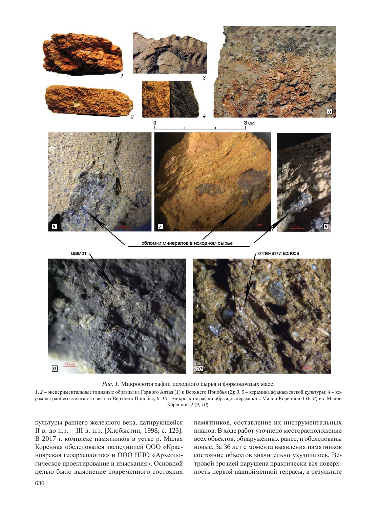

Рис. 1. Микрофотографии исходного сырья и формовочных масс.

1, 2 – экспериментальные глиняные образцы из Горного Алтая (1) и Верхнего Приобья (2); 3, 5 – керамика афанасьевской культуры; 4 – керамика раннего железного века из Верхнего Приобья; 6-10 – микрофотографии образцов керамики с Малой Коренной-1 (6-8) и с Малой Коренной-2 (9, 10).

культуры раннего железного века, датирующейся II в. до н.э. – III в. н.э. [Хлобыстин, 1998, с. 123]. В 2017 г. комплекс памятников в устье р. Малая Коренная обследовался экспедицией ООО «Красноярская геоархеология» и ООО НПО «Археологическое проектирование и изыскания». Основной целью было выяснение современного состояния

памятников, составление их инструментальных планов. В ходе работ уточнено месторасположение всех объектов, обнаруженных ранее, и обследованы новые. За 36 лет с момента выявления памятников состояние объектов значительно ухудшилось. Ветровой эрозией нарушена практически вся поверхность первой надпойменной террасы, в результате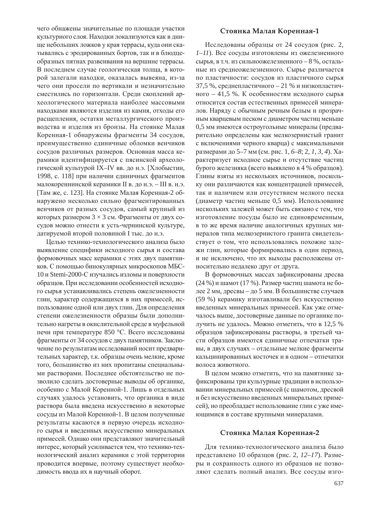чего обнажены значительные по площади участки культурного слоя. Находки локализуются как в днище небольших ложков у края террасы, куда они скатывались с эродированных бортов, так и в блюдцеобразных пятнах развеивания на вершине террасы. В последнем случае геологическая толща, в которой залегали находки, оказалась вывеяна, из-за чего они просели по вертикали и незначительно сместились по горизонтали. Среди скоплений археологического материала наиболее массовыми находками являются изделия из камня, отходы его расщепления, остатки металлургического производства и изделия из бронзы. На стоянке Малая Коренная-1 обнаружены фрагменты 34 сосудов, преимущественно единичные обломки венчиков сосудов различных размеров. Основная масса керамики идентифицируется с пясинской археологической культурой IX–IV вв. до н.э. [Хлобыстин, 1998, с. 118] при наличии единичных фрагментов малокореннинской керамики II в. до н.э. – III в. н.э. [Там же, с. 123]. На стоянке Малая Коренная-2 обнаружено несколько сильно фрагментированных венчиков от разных сосудов, самый крупный из которых размером  $3 \times 3$  см. Фрагменты от двух сосудов можно отнести к усть-чернинской культуре, датируемой второй половиной I тыс. до н.э.

Целью технико-технологического анализа было выявление специфики исходного сырья и состава формовочных масс керамики с этих двух памятников. С помощью бинокулярных микроскопов МБС-10 и Stemi-2000-С изучались изломы и поверхности образцов. При исследовании особенностей исходного сырья устанавливались степень ожелезненности глин, характер содержащихся в них примесей, использование одной или двух глин. Для определения степени ожелезненности образцы были дополнительно нагреты в окислительной среде в муфельной печи при температуре 850 °С. Всего исследованы фрагменты от 34 сосудов с двух памятников. Заключение по результатам исследований носит предварительных характер, т.к. образцы очень мелкие, кроме того, большинство из них пропитаны специальными растворами. Последнее обстоятельство не позволило сделать достоверные выводы об органике, особенно с Малой Коренной-1. Лишь в отдельных случаях удалось установить, что органика в виде раствора была введена искусственно в некоторые сосуды из Малой Коренной-1. В целом полученные результаты касаются в первую очередь исходного сырья и введенных искусственно минеральных примесей. Однако они представляют значительный интерес, который усиливается тем, что технико-технологический анализ керамики с этой территории проводится впервые, поэтому существует необходимость ввода их в научный оборот.

#### **ǿȠȜȭțȘȎ ǺȎșȎȭ ǸȜȞȓțțȎȭ-1**

Исследованы образцы от 24 сосудов (рис. 2, *1–11*). Все сосуды изготовлены из ожелезненного сырья, в т.ч. из сильноожелезненного - 8 %, остальные из среднеожелезненного. Сырье различается по пластичности: сосудов из пластичного сырья 37,5 %, среднепластичного - 21 % и низкопластичного – 41,5 %. К особенностям исходного сырья относится состав естественных примесей минералов. Наряду с обычным речным белым и прозрачным кварцевым песком с диаметром частиц меньше 0,5 мм имеются остроугольные минералы (предварительно определены как мелкозернистый гранит с включениями черного кварца) с максимальными размерами до 5–7 мм (см. рис. 1, 6–8; 2, 1, 3, 4). Характеризует исходное сырье и отсутствие частиц бурого железняка (всего выявлено в 4 % образцов). Глины взяты из нескольких источников, поскольку они различаются как концентрацией примесей, так и наличием или отсутствием мелкого песка (диаметр частиц меньше 0,5 мм). Использование нескольких залежей может быть связано с тем, что изготовление посуды было не единовременным, в то же время наличие аналогичных крупных минералов типа мелкозернистого гранита свидетельствует о том, что использовались похожие залежи глин, которые формировались в один период, и не исключено, что их выходы расположены относительно недалеко друг от друга.

В формовочных массах зафиксированы дресва (24 %) и шамот (17 %). Размер частиц шамота не более 2 мм, дресвы – до 5 мм. В большинстве случаев (59 %) керамику изготавливали без искусственно введенных минеральных примесей. Как уже отмечалось выше, достоверные данные по органике получить не удалось. Можно отметить, что в 12,5 % образцов зафиксированы растворы, в третьей части образцов имеются единичные отпечатки травы, в двух случаях – отдельные мелкие фрагменты кальцинированных косточек и в одном – отпечатки волоса животного.

В целом можно отметить, что на памятнике зафиксированы три культурные традиции в использовании минеральных примесей (с шамотом, дресвой и без искусственно введенных минеральных примесей), но преобладает использование глин с уже имеющимися в составе крупными минералами.

#### **ǿȠȜȭțȘȎ ǺȎșȎȭ ǸȜȞȓțțȎȭ-2**

Для технико-технологического анализа было представлено 10 образцов (рис. 2, 12–17). Размеры и сохранность одного из образцов не позволяют сделать полный анализ. Все сосуды изго-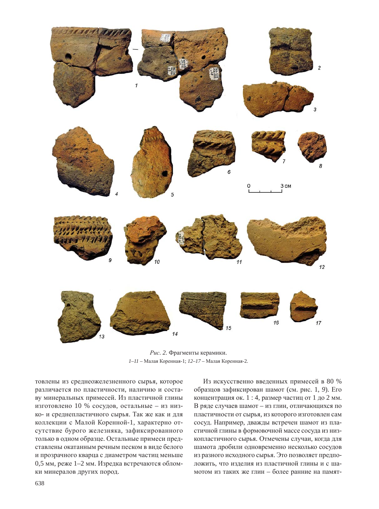

Рис. 2. Фрагменты керамики.  $1-11$  – Малая Коренная-1;  $12-17$  – Малая Коренная-2.

товлены из среднеожелезненного сырья, которое различается по пластичности, наличию и составу минеральных примесей. Из пластичной глины изготовлено 10 % сосудов, остальные – из низко- и среднепластичного сырья. Так же как и для коллекции с Малой Коренной-1, характерно отсутствие бурого железняка, зафиксированного только в одном образце. Остальные примеси представлены окатанным речным песком в виде белого и прозрачного кварца с диаметром частиц меньше 0,5 мм, реже 1–2 мм. Изредка встречаются обломки минералов других пород.

Из искусственно введенных примесей в 80 % образцов зафиксирован шамот (см. рис. 1, 9). Его концентрация ок. 1 : 4, размер частиц от 1 до 2 мм. В ряде случаев шамот – из глин, отличающихся по пластичности от сырья, из которого изготовлен сам сосуд. Например, дважды встречен шамот из пластичной глины в формовочной массе сосуда из низкопластичного сырья. Отмечены случаи, когда для шамота дробили одновременно несколько сосудов из разного исходного сырья. Это позволяет предположить, что изделия из пластичной глины и с шамотом из таких же глин – более ранние на памят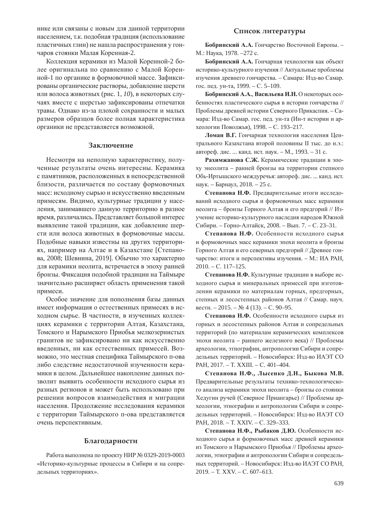нике или связаны с новым для данной территории населением, т.к. подобная традиция (использование пластичных глин) не нашла распространения у гончаров стоянки Малая Коренная-2.

Коллекция керамики из Малой Коренной-2 более оригинальна по сравнению с Малой Коренной-1 по органике в формовочной массе. Зафиксированы органические растворы, добавление шерсти или волоса животных (рис. 1, *10*), в некоторых случаях вместе с шерстью зафиксированы отпечатки травы. Однако из-за плохой сохранности и малых размеров образцов более полная характеристика органики не представляется возможной.

#### Заключение

Несмотря на неполную характеристику, полученные результаты очень интересны. Керамика с памятников, расположенных в непосредственной близости, различается по составу формовочных масс: исходному сырью и искусственно введенным примесям. Видимо, культурные традиции у населения, занимавшего данную территорию в разное время, различались. Представляет большой интерес выявление такой традиции, как добавление шерсти или волоса животных в формовочные массы. Подобные навыки известны на других территориях, например на Алтае и в Казахстане [Степанова, 2008; Шевнина, 2019]. Обычно это характерно для керамики неолита, встречается в эпоху ранней бронзы. Фиксация подобной традиции на Таймыре значительно расширяет область применения такой примеси.

Особое значение для пополнения базы данных имеет информация о естественных примесях в исходном сырье. В частности, в изученных коллекциях керамики с территории Алтая, Казахстана, Томского и Нарымского Приобья мелкозернистых гранитов не зафиксировано ни как искусственно введенных, ни как естественных примесей. Возможно, это местная специфика Таймырского п-ова либо следствие недостаточной изученности керамики в целом. Дальнейшее накопление данных позволит выявить особенности исходного сырья из разных регионов и может быть использовано при решении вопросов взаимодействия и миграции населения. Продолжение исследования керамики с территории Таймырского п-ова представляется очень перспективным.

#### **Благодарности**

Работа выполнена по проекту НИР № 0329-2019-0003 «Историко-культурные процессы в Сибири и на сопредельных территориях».

#### Список литературы

**Бобринский А.А.** Гончарство Восточной Европы. – М.: Наука, 1978. –272 с.

Бобринский А.А. Гончарная технология как объект историко-культурного изучения // Актуальные проблемы изучения древнего гончарства. – Самара: Изд-во Самар. гос. пед. ун-та, 1999. – С. 5–109.

Бобринский А.А., Васильева И.Н. О некоторых особенностях пластического сырья в истории гончарства // Проблемы древней истории Северного Прикаспия. – Самара: Изд-во Самар. гос. пед. ун-та (Ин-т истории и археологии Поволжья), 1998. – С. 193–217.

Ломан В.Г. Гончарная технология населения Центрального Казахстана второй половины II тыс. до н.э.: автореф. дис. ... канд. ист. наук. – М., 1993. – 31 с.

Рахимжанова С.Ж. Керамические традиции в эпоху энеолита – ранней бронзы на территории степного Обь-Иртышского междуречья: автореф. дис. ... канд. ист. наук. – Барнаул, 2018. – 25 с.

Степанова Н.Ф. Предварительные итоги исследований исходного сырья и формовочных масс керамики неолита – бронзы Горного Алтая и его предгорий // Изучение историко-культурного наследия народов Южной Сибири. – Горно-Алтайск, 2008. – Вып. 7. – С. 23–31.

Степанова Н.Ф. Особенности исходного сырья и формовочных масс керамики эпохи неолита и бронзы Горного Алтая и его северных предгорий // Древнее гончарство: итоги и перспективы изучения. – М.: ИА РАН, 2010. – C. 117–125.

Степанова Н.Ф. Культурные традиции в выборе исходного сырья и минеральных примесей при изготовлении керамики по материалам горных, предгорных, степных и лесостепных районов Алтая // Самар. науч. вестн. – 2015. – № 4 (13). – С. 90–95.

Степанова Н.Ф. Особенности исходного сырья из горных и лесостепных районов Алтая и сопредельных территорий (по материалам керамических комплексов эпохи неолита – раннего железного века) // Проблемы археологии, этнографии, антропологии Сибири и сопредельных территорий. – Новосибирск: Изд-во ИАЭТ СО PAH, 2017. – T. XXIII. – C. 401–404.

 $C$ тепанова Н.Ф., Лысенко Д.Н., Быкова М.В. Предварительные результаты технико-технологического анализа керамики эпохи неолита – бронзы со стоянки Хедугин ручей (Северное Приангарье) // Проблемы археологии, этнографии и антропологии Сибири и сопредельных территорий. – Новосибирск: Изд-во ИАЭТ СО PAH, 2018. – T. XXIV. – C. 329–333.

Степанова Н.Ф., Рыбаков Д.Ю. Особенности исходного сырья и формовочных масс древней керамики из Томского и Нарымского Приобья // Проблемы археологии, этнографии и антропологии Сибири и сопредельных территорий. – Новосибирск: Изд-во ИАЭТ СО РАН,  $2019. - T.$  XXV.  $- C. 607 - 613.$